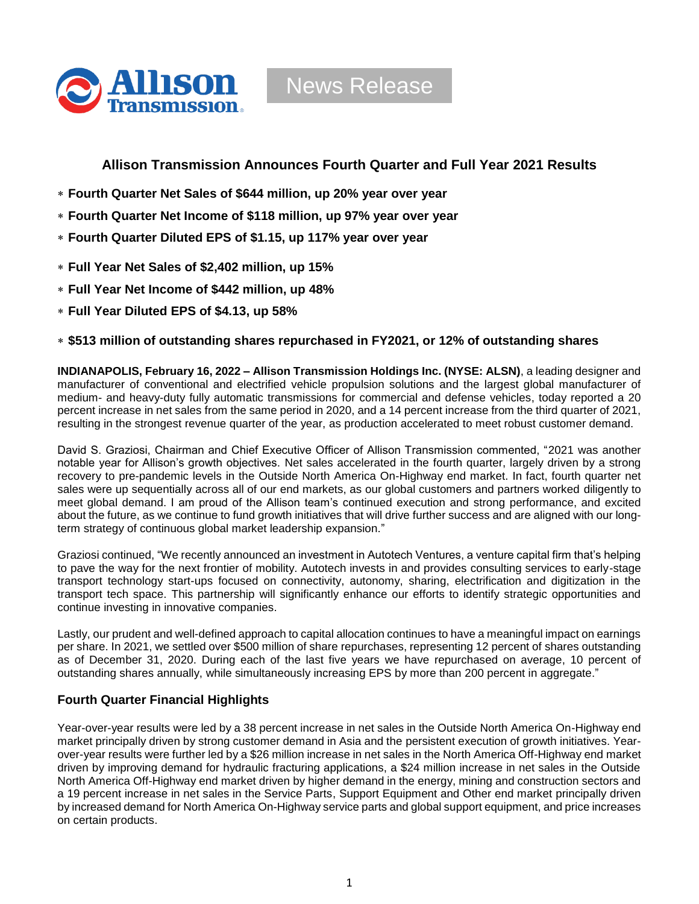

News Release

# **Allison Transmission Announces Fourth Quarter and Full Year 2021 Results**

- **Fourth Quarter Net Sales of \$644 million, up 20% year over year**
- **Fourth Quarter Net Income of \$118 million, up 97% year over year**
- **Fourth Quarter Diluted EPS of \$1.15, up 117% year over year**
- **Full Year Net Sales of \$2,402 million, up 15%**
- **Full Year Net Income of \$442 million, up 48%**
- **Full Year Diluted EPS of \$4.13, up 58%**
- **\$513 million of outstanding shares repurchased in FY2021, or 12% of outstanding shares**

**INDIANAPOLIS, February 16, 2022 – Allison Transmission Holdings Inc. (NYSE: ALSN)**, a leading designer and manufacturer of conventional and electrified vehicle propulsion solutions and the largest global manufacturer of medium- and heavy-duty fully automatic transmissions for commercial and defense vehicles, today reported a 20 percent increase in net sales from the same period in 2020, and a 14 percent increase from the third quarter of 2021, resulting in the strongest revenue quarter of the year, as production accelerated to meet robust customer demand.

David S. Graziosi, Chairman and Chief Executive Officer of Allison Transmission commented, "2021 was another notable year for Allison's growth objectives. Net sales accelerated in the fourth quarter, largely driven by a strong recovery to pre-pandemic levels in the Outside North America On-Highway end market. In fact, fourth quarter net sales were up sequentially across all of our end markets, as our global customers and partners worked diligently to meet global demand. I am proud of the Allison team's continued execution and strong performance, and excited about the future, as we continue to fund growth initiatives that will drive further success and are aligned with our longterm strategy of continuous global market leadership expansion."

Graziosi continued, "We recently announced an investment in Autotech Ventures, a venture capital firm that's helping to pave the way for the next frontier of mobility. Autotech invests in and provides consulting services to early-stage transport technology start-ups focused on connectivity, autonomy, sharing, electrification and digitization in the transport tech space. This partnership will significantly enhance our efforts to identify strategic opportunities and continue investing in innovative companies.

Lastly, our prudent and well-defined approach to capital allocation continues to have a meaningful impact on earnings per share. In 2021, we settled over \$500 million of share repurchases, representing 12 percent of shares outstanding as of December 31, 2020. During each of the last five years we have repurchased on average, 10 percent of outstanding shares annually, while simultaneously increasing EPS by more than 200 percent in aggregate."

# **Fourth Quarter Financial Highlights**

Year-over-year results were led by a 38 percent increase in net sales in the Outside North America On-Highway end market principally driven by strong customer demand in Asia and the persistent execution of growth initiatives. Yearover-year results were further led by a \$26 million increase in net sales in the North America Off-Highway end market driven by improving demand for hydraulic fracturing applications, a \$24 million increase in net sales in the Outside North America Off-Highway end market driven by higher demand in the energy, mining and construction sectors and a 19 percent increase in net sales in the Service Parts, Support Equipment and Other end market principally driven by increased demand for North America On-Highway service parts and global support equipment, and price increases on certain products.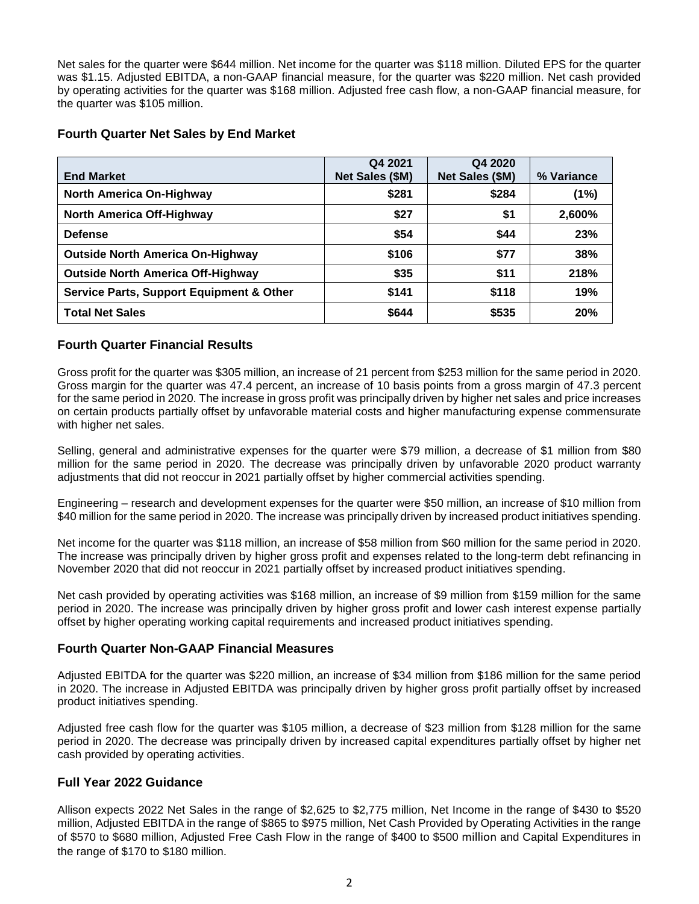Net sales for the quarter were \$644 million. Net income for the quarter was \$118 million. Diluted EPS for the quarter was \$1.15. Adjusted EBITDA, a non-GAAP financial measure, for the quarter was \$220 million. Net cash provided by operating activities for the quarter was \$168 million. Adjusted free cash flow, a non-GAAP financial measure, for the quarter was \$105 million.

| <b>Fourth Quarter Net Sales by End Market</b> |  |  |  |  |  |  |  |
|-----------------------------------------------|--|--|--|--|--|--|--|
|-----------------------------------------------|--|--|--|--|--|--|--|

|                                          | Q4 2021         | Q4 2020                |            |
|------------------------------------------|-----------------|------------------------|------------|
| <b>End Market</b>                        | Net Sales (\$M) | <b>Net Sales (\$M)</b> | % Variance |
| <b>North America On-Highway</b>          | \$281           | \$284                  | (1%)       |
| North America Off-Highway                | \$27            | \$1                    | 2,600%     |
| <b>Defense</b>                           | \$54            | \$44                   | 23%        |
| <b>Outside North America On-Highway</b>  | \$106           | \$77                   | 38%        |
| <b>Outside North America Off-Highway</b> | \$35            | \$11                   | 218%       |
| Service Parts, Support Equipment & Other | \$141           | \$118                  | 19%        |
| <b>Total Net Sales</b>                   | \$644           | \$535                  | 20%        |

### **Fourth Quarter Financial Results**

Gross profit for the quarter was \$305 million, an increase of 21 percent from \$253 million for the same period in 2020. Gross margin for the quarter was 47.4 percent, an increase of 10 basis points from a gross margin of 47.3 percent for the same period in 2020. The increase in gross profit was principally driven by higher net sales and price increases on certain products partially offset by unfavorable material costs and higher manufacturing expense commensurate with higher net sales.

Selling, general and administrative expenses for the quarter were \$79 million, a decrease of \$1 million from \$80 million for the same period in 2020. The decrease was principally driven by unfavorable 2020 product warranty adjustments that did not reoccur in 2021 partially offset by higher commercial activities spending.

Engineering – research and development expenses for the quarter were \$50 million, an increase of \$10 million from \$40 million for the same period in 2020. The increase was principally driven by increased product initiatives spending.

Net income for the quarter was \$118 million, an increase of \$58 million from \$60 million for the same period in 2020. The increase was principally driven by higher gross profit and expenses related to the long-term debt refinancing in November 2020 that did not reoccur in 2021 partially offset by increased product initiatives spending.

Net cash provided by operating activities was \$168 million, an increase of \$9 million from \$159 million for the same period in 2020. The increase was principally driven by higher gross profit and lower cash interest expense partially offset by higher operating working capital requirements and increased product initiatives spending.

#### **Fourth Quarter Non-GAAP Financial Measures**

Adjusted EBITDA for the quarter was \$220 million, an increase of \$34 million from \$186 million for the same period in 2020. The increase in Adjusted EBITDA was principally driven by higher gross profit partially offset by increased product initiatives spending.

Adjusted free cash flow for the quarter was \$105 million, a decrease of \$23 million from \$128 million for the same period in 2020. The decrease was principally driven by increased capital expenditures partially offset by higher net cash provided by operating activities.

# **Full Year 2022 Guidance**

Allison expects 2022 Net Sales in the range of \$2,625 to \$2,775 million, Net Income in the range of \$430 to \$520 million, Adjusted EBITDA in the range of \$865 to \$975 million, Net Cash Provided by Operating Activities in the range of \$570 to \$680 million, Adjusted Free Cash Flow in the range of \$400 to \$500 million and Capital Expenditures in the range of \$170 to \$180 million.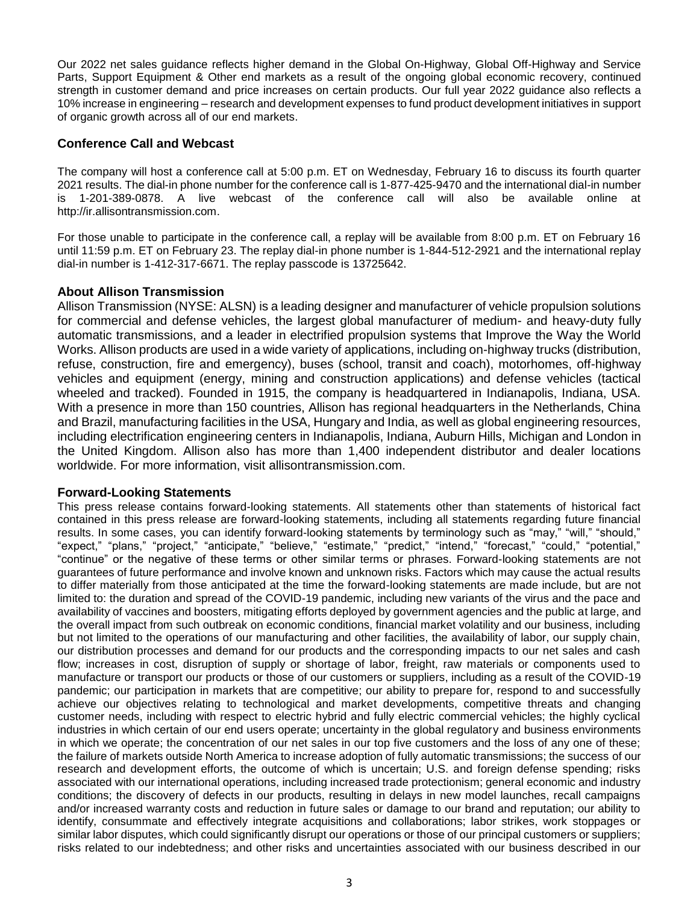Our 2022 net sales guidance reflects higher demand in the Global On-Highway, Global Off-Highway and Service Parts, Support Equipment & Other end markets as a result of the ongoing global economic recovery, continued strength in customer demand and price increases on certain products. Our full year 2022 guidance also reflects a 10% increase in engineering – research and development expenses to fund product development initiatives in support of organic growth across all of our end markets.

## **Conference Call and Webcast**

The company will host a conference call at 5:00 p.m. ET on Wednesday, February 16 to discuss its fourth quarter 2021 results. The dial-in phone number for the conference call is 1-877-425-9470 and the international dial-in number is 1-201-389-0878. A live webcast of the conference call will also be available online at [http://ir.allisontransmission.com.](https://cts.businesswire.com/ct/CT?id=smartlink&url=http%3A%2F%2Fir.allisontransmission.com&esheet=52369026&newsitemid=20210127005890&lan=en-US&anchor=http%3A%2F%2Fir.allisontransmission.com&index=1&md5=a459fab4cddde80b12b99cbb33813004)

For those unable to participate in the conference call, a replay will be available from 8:00 p.m. ET on February 16 until 11:59 p.m. ET on February 23. The replay dial-in phone number is 1-844-512-2921 and the international replay dial-in number is 1-412-317-6671. The replay passcode is 13725642.

### **About Allison Transmission**

Allison Transmission (NYSE: ALSN) is a leading designer and manufacturer of vehicle propulsion solutions for commercial and defense vehicles, the largest global manufacturer of medium- and heavy-duty fully automatic transmissions, and a leader in electrified propulsion systems that Improve the Way the World Works. Allison products are used in a wide variety of applications, including on-highway trucks (distribution, refuse, construction, fire and emergency), buses (school, transit and coach), motorhomes, off-highway vehicles and equipment (energy, mining and construction applications) and defense vehicles (tactical wheeled and tracked). Founded in 1915, the company is headquartered in Indianapolis, Indiana, USA. With a presence in more than 150 countries, Allison has regional headquarters in the Netherlands, China and Brazil, manufacturing facilities in the USA, Hungary and India, as well as global engineering resources, including electrification engineering centers in Indianapolis, Indiana, Auburn Hills, Michigan and London in the United Kingdom. Allison also has more than 1,400 independent distributor and dealer locations worldwide. For more information, visit allisontransmission.com.

#### **Forward-Looking Statements**

This press release contains forward-looking statements. All statements other than statements of historical fact contained in this press release are forward-looking statements, including all statements regarding future financial results. In some cases, you can identify forward-looking statements by terminology such as "may," "will," "should," "expect," "plans," "project," "anticipate," "believe," "estimate," "predict," "intend," "forecast," "could," "potential," "continue" or the negative of these terms or other similar terms or phrases. Forward-looking statements are not guarantees of future performance and involve known and unknown risks. Factors which may cause the actual results to differ materially from those anticipated at the time the forward-looking statements are made include, but are not limited to: the duration and spread of the COVID-19 pandemic, including new variants of the virus and the pace and availability of vaccines and boosters, mitigating efforts deployed by government agencies and the public at large, and the overall impact from such outbreak on economic conditions, financial market volatility and our business, including but not limited to the operations of our manufacturing and other facilities, the availability of labor, our supply chain, our distribution processes and demand for our products and the corresponding impacts to our net sales and cash flow; increases in cost, disruption of supply or shortage of labor, freight, raw materials or components used to manufacture or transport our products or those of our customers or suppliers, including as a result of the COVID-19 pandemic; our participation in markets that are competitive; our ability to prepare for, respond to and successfully achieve our objectives relating to technological and market developments, competitive threats and changing customer needs, including with respect to electric hybrid and fully electric commercial vehicles; the highly cyclical industries in which certain of our end users operate; uncertainty in the global regulatory and business environments in which we operate; the concentration of our net sales in our top five customers and the loss of any one of these; the failure of markets outside North America to increase adoption of fully automatic transmissions; the success of our research and development efforts, the outcome of which is uncertain; U.S. and foreign defense spending; risks associated with our international operations, including increased trade protectionism; general economic and industry conditions; the discovery of defects in our products, resulting in delays in new model launches, recall campaigns and/or increased warranty costs and reduction in future sales or damage to our brand and reputation; our ability to identify, consummate and effectively integrate acquisitions and collaborations; labor strikes, work stoppages or similar labor disputes, which could significantly disrupt our operations or those of our principal customers or suppliers; risks related to our indebtedness; and other risks and uncertainties associated with our business described in our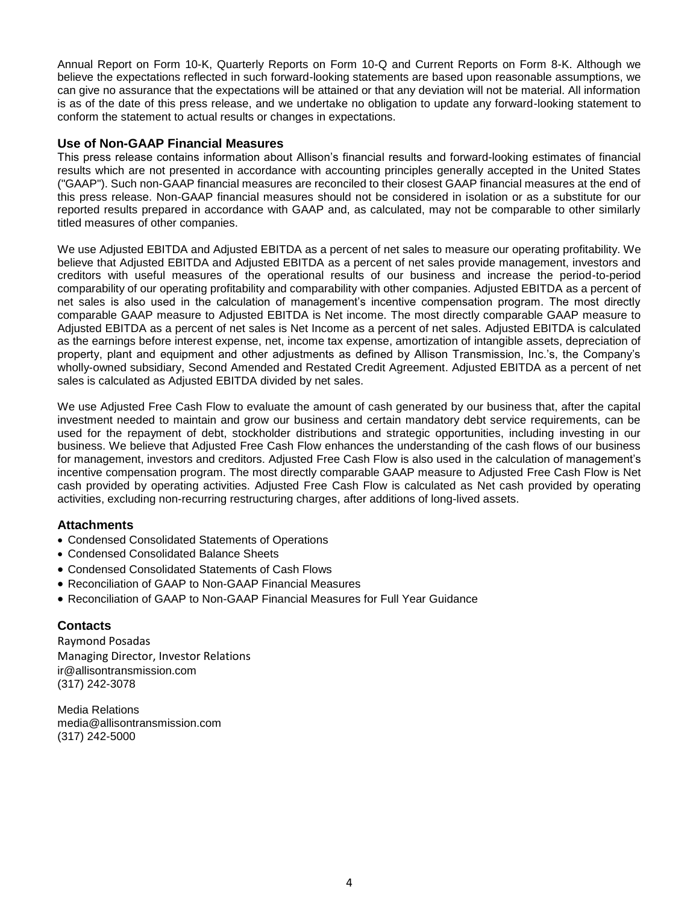Annual Report on Form 10-K, Quarterly Reports on Form 10-Q and Current Reports on Form 8-K. Although we believe the expectations reflected in such forward-looking statements are based upon reasonable assumptions, we can give no assurance that the expectations will be attained or that any deviation will not be material. All information is as of the date of this press release, and we undertake no obligation to update any forward-looking statement to conform the statement to actual results or changes in expectations.

## **Use of Non-GAAP Financial Measures**

This press release contains information about Allison's financial results and forward-looking estimates of financial results which are not presented in accordance with accounting principles generally accepted in the United States ("GAAP"). Such non-GAAP financial measures are reconciled to their closest GAAP financial measures at the end of this press release. Non-GAAP financial measures should not be considered in isolation or as a substitute for our reported results prepared in accordance with GAAP and, as calculated, may not be comparable to other similarly titled measures of other companies.

We use Adjusted EBITDA and Adjusted EBITDA as a percent of net sales to measure our operating profitability. We believe that Adjusted EBITDA and Adjusted EBITDA as a percent of net sales provide management, investors and creditors with useful measures of the operational results of our business and increase the period-to-period comparability of our operating profitability and comparability with other companies. Adjusted EBITDA as a percent of net sales is also used in the calculation of management's incentive compensation program. The most directly comparable GAAP measure to Adjusted EBITDA is Net income. The most directly comparable GAAP measure to Adjusted EBITDA as a percent of net sales is Net Income as a percent of net sales. Adjusted EBITDA is calculated as the earnings before interest expense, net, income tax expense, amortization of intangible assets, depreciation of property, plant and equipment and other adjustments as defined by Allison Transmission, Inc.'s, the Company's wholly-owned subsidiary, Second Amended and Restated Credit Agreement. Adjusted EBITDA as a percent of net sales is calculated as Adjusted EBITDA divided by net sales.

We use Adjusted Free Cash Flow to evaluate the amount of cash generated by our business that, after the capital investment needed to maintain and grow our business and certain mandatory debt service requirements, can be used for the repayment of debt, stockholder distributions and strategic opportunities, including investing in our business. We believe that Adjusted Free Cash Flow enhances the understanding of the cash flows of our business for management, investors and creditors. Adjusted Free Cash Flow is also used in the calculation of management's incentive compensation program. The most directly comparable GAAP measure to Adjusted Free Cash Flow is Net cash provided by operating activities. Adjusted Free Cash Flow is calculated as Net cash provided by operating activities, excluding non-recurring restructuring charges, after additions of long-lived assets.

#### **Attachments**

- Condensed Consolidated Statements of Operations
- Condensed Consolidated Balance Sheets
- Condensed Consolidated Statements of Cash Flows
- Reconciliation of GAAP to Non-GAAP Financial Measures
- Reconciliation of GAAP to Non-GAAP Financial Measures for Full Year Guidance

#### **Contacts**

Raymond Posadas Managing Director, Investor Relations ir@allisontransmission.com (317) 242-3078

Media Relations [media@allisontransmission.com](mailto:media@allisontransmission.com) (317) 242-5000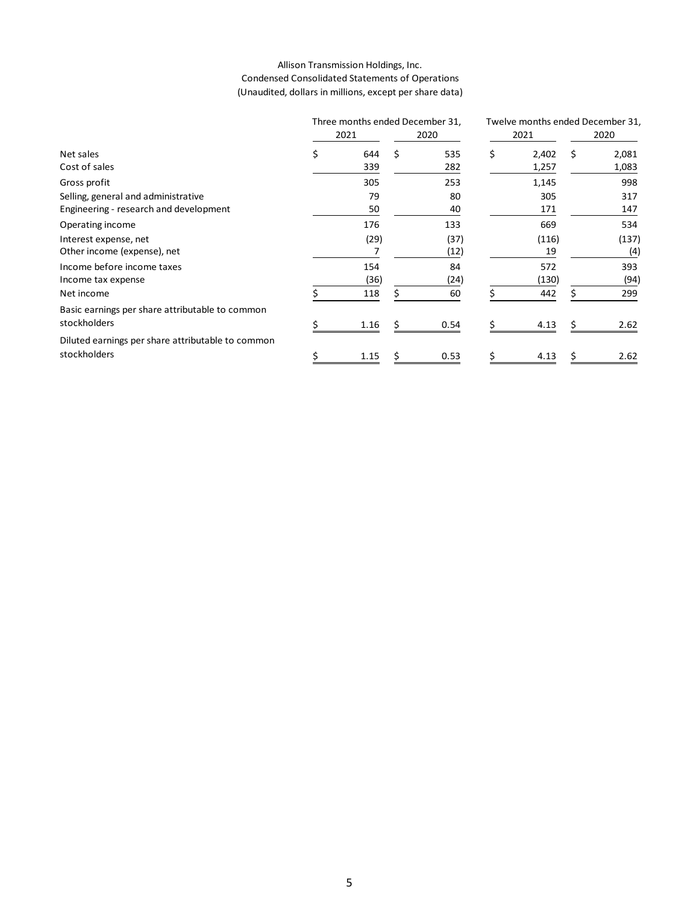#### Allison Transmission Holdings, Inc. Condensed Consolidated Statements of Operations (Unaudited, dollars in millions, except per share data)

|                                                   | 2021 | Three months ended December 31,<br>2020 |      | 2021        | Twelve months ended December 31,<br>2020 |       |
|---------------------------------------------------|------|-----------------------------------------|------|-------------|------------------------------------------|-------|
| Net sales                                         | 644  | Ś                                       | 535  | \$<br>2,402 | s                                        | 2,081 |
| Cost of sales                                     | 339  |                                         | 282  | 1,257       |                                          | 1,083 |
| Gross profit                                      | 305  |                                         | 253  | 1,145       |                                          | 998   |
| Selling, general and administrative               | 79   |                                         | 80   | 305         |                                          | 317   |
| Engineering - research and development            | 50   |                                         | 40   | 171         |                                          | 147   |
| Operating income                                  | 176  |                                         | 133  | 669         |                                          | 534   |
| Interest expense, net                             | (29) |                                         | (37) | (116)       |                                          | (137) |
| Other income (expense), net                       |      |                                         | (12) | 19          |                                          | (4)   |
| Income before income taxes                        | 154  |                                         | 84   | 572         |                                          | 393   |
| Income tax expense                                | (36) |                                         | (24) | (130)       |                                          | (94)  |
| Net income                                        | 118  |                                         | 60   | 442         |                                          | 299   |
| Basic earnings per share attributable to common   |      |                                         |      |             |                                          |       |
| stockholders                                      | 1.16 |                                         | 0.54 | 4.13        |                                          | 2.62  |
| Diluted earnings per share attributable to common |      |                                         |      |             |                                          |       |
| stockholders                                      | 1.15 |                                         | 0.53 | 4.13        | S                                        | 2.62  |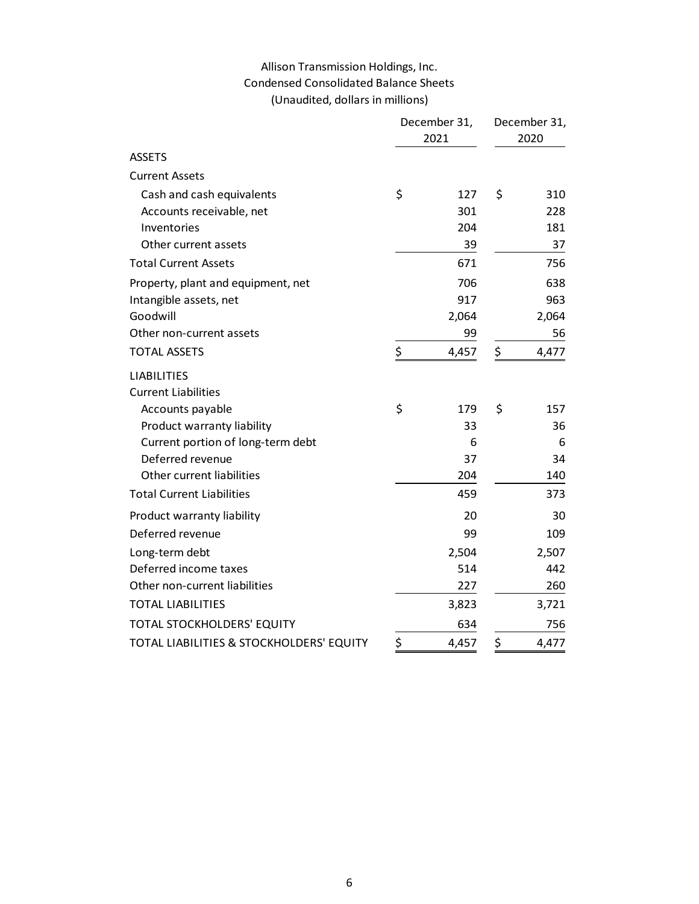# Allison Transmission Holdings, Inc. Condensed Consolidated Balance Sheets (Unaudited, dollars in millions)

|                                          | December 31,<br>2021 | December 31,<br>2020 |
|------------------------------------------|----------------------|----------------------|
| <b>ASSETS</b>                            |                      |                      |
| <b>Current Assets</b>                    |                      |                      |
| Cash and cash equivalents                | \$<br>127            | \$<br>310            |
| Accounts receivable, net                 | 301                  | 228                  |
| Inventories                              | 204                  | 181                  |
| Other current assets                     | 39                   | 37                   |
| <b>Total Current Assets</b>              | 671                  | 756                  |
| Property, plant and equipment, net       | 706                  | 638                  |
| Intangible assets, net                   | 917                  | 963                  |
| Goodwill                                 | 2,064                | 2,064                |
| Other non-current assets                 | 99                   | 56                   |
| <b>TOTAL ASSETS</b>                      | \$<br>4,457          | \$<br>4,477          |
| <b>LIABILITIES</b>                       |                      |                      |
| <b>Current Liabilities</b>               |                      |                      |
| Accounts payable                         | \$<br>179            | \$<br>157            |
| Product warranty liability               | 33                   | 36                   |
| Current portion of long-term debt        | 6                    | 6                    |
| Deferred revenue                         | 37                   | 34                   |
| Other current liabilities                | 204                  | 140                  |
| <b>Total Current Liabilities</b>         | 459                  | 373                  |
| Product warranty liability               | 20                   | 30                   |
| Deferred revenue                         | 99                   | 109                  |
| Long-term debt                           | 2,504                | 2,507                |
| Deferred income taxes                    | 514                  | 442                  |
| Other non-current liabilities            | 227                  | 260                  |
| <b>TOTAL LIABILITIES</b>                 | 3,823                | 3,721                |
| TOTAL STOCKHOLDERS' EQUITY               | 634                  | 756                  |
| TOTAL LIABILITIES & STOCKHOLDERS' EQUITY | \$<br>4,457          | \$<br>4,477          |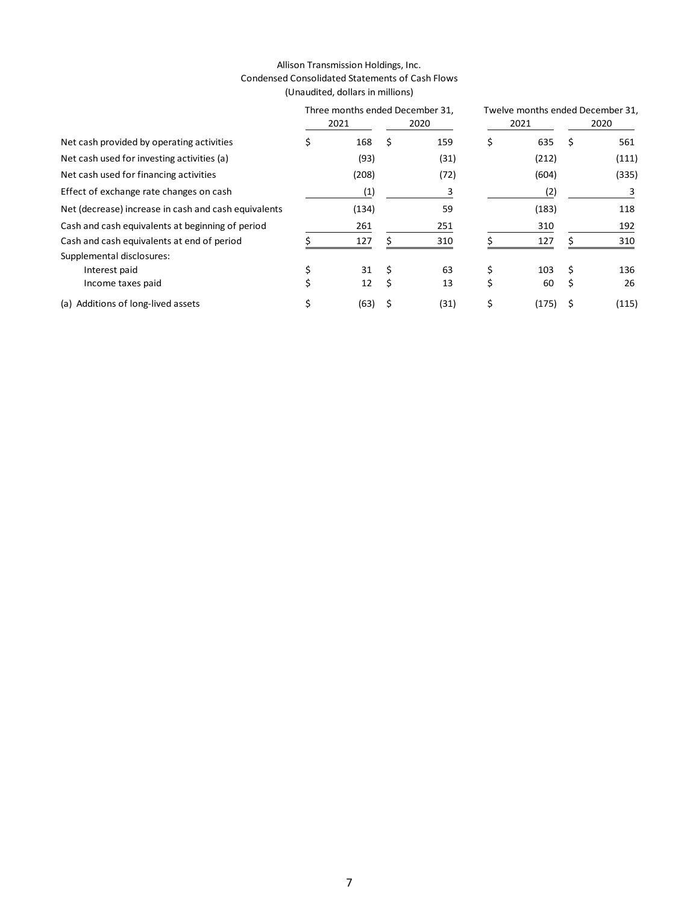#### Allison Transmission Holdings, Inc. Condensed Consolidated Statements of Cash Flows (Unaudited, dollars in millions)

|                                                      | Three months ended December 31, |       |    |      | Twelve months ended December 31, |       |    |       |
|------------------------------------------------------|---------------------------------|-------|----|------|----------------------------------|-------|----|-------|
|                                                      |                                 | 2021  |    | 2020 |                                  | 2021  |    | 2020  |
| Net cash provided by operating activities            |                                 | 168   | \$ | 159  | \$                               | 635   | S  | 561   |
| Net cash used for investing activities (a)           |                                 | (93)  |    | (31) |                                  | (212) |    | (111) |
| Net cash used for financing activities               |                                 | (208) |    | (72) |                                  | (604) |    | (335) |
| Effect of exchange rate changes on cash              |                                 | (1)   |    |      |                                  | (2)   |    |       |
| Net (decrease) increase in cash and cash equivalents |                                 | (134) |    | 59   |                                  | (183) |    | 118   |
| Cash and cash equivalents at beginning of period     |                                 | 261   |    | 251  |                                  | 310   |    | 192   |
| Cash and cash equivalents at end of period           |                                 | 127   |    | 310  |                                  | 127   |    | 310   |
| Supplemental disclosures:                            |                                 |       |    |      |                                  |       |    |       |
| Interest paid                                        |                                 | 31    | \$ | 63   | \$                               | 103   | \$ | 136   |
| Income taxes paid                                    |                                 | 12    | \$ | 13   |                                  | 60    | \$ | 26    |
| (a) Additions of long-lived assets                   |                                 | (63)  | \$ | (31) | \$                               | (175) | S  | (115) |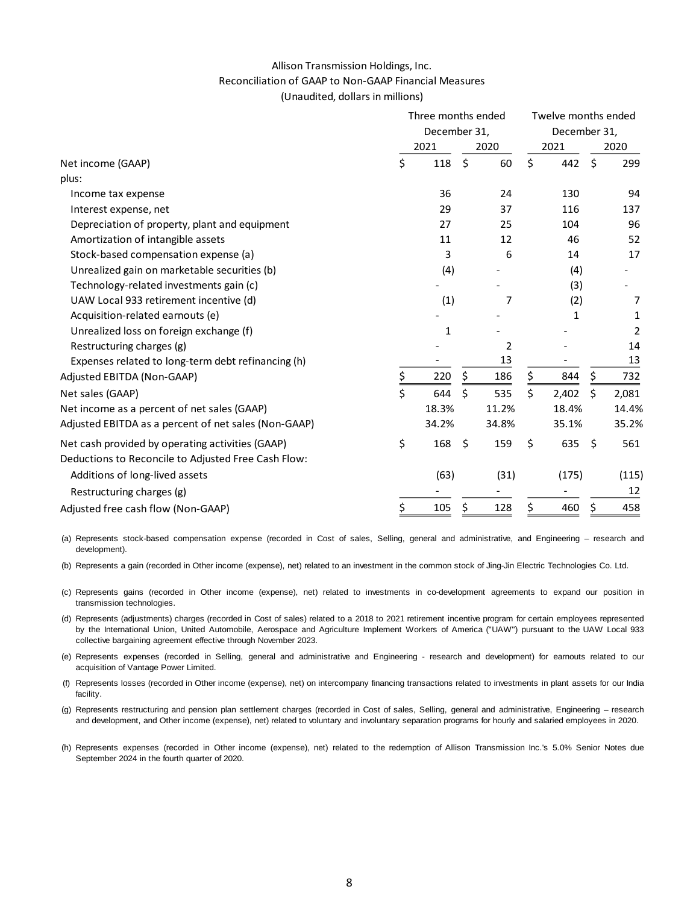#### Allison Transmission Holdings, Inc. Reconciliation of GAAP to Non-GAAP Financial Measures (Unaudited, dollars in millions)

|                                                      | Three months ended |           |    | Twelve months ended |                |
|------------------------------------------------------|--------------------|-----------|----|---------------------|----------------|
|                                                      | December 31,       |           |    | December 31,        |                |
|                                                      | 2021               | 2020      |    | 2021                | 2020           |
| Net income (GAAP)                                    | \$<br>118          | \$<br>60  | \$ | 442                 | \$<br>299      |
| plus:                                                |                    |           |    |                     |                |
| Income tax expense                                   | 36                 | 24        |    | 130                 | 94             |
| Interest expense, net                                | 29                 | 37        |    | 116                 | 137            |
| Depreciation of property, plant and equipment        | 27                 | 25        |    | 104                 | 96             |
| Amortization of intangible assets                    | 11                 | 12        |    | 46                  | 52             |
| Stock-based compensation expense (a)                 | 3                  | 6         |    | 14                  | 17             |
| Unrealized gain on marketable securities (b)         | (4)                |           |    | (4)                 |                |
| Technology-related investments gain (c)              |                    |           |    | (3)                 |                |
| UAW Local 933 retirement incentive (d)               | (1)                | 7         |    | (2)                 | $\overline{7}$ |
| Acquisition-related earnouts (e)                     |                    |           |    | 1                   | 1              |
| Unrealized loss on foreign exchange (f)              | 1                  |           |    |                     | $\overline{2}$ |
| Restructuring charges (g)                            |                    | 2         |    |                     | 14             |
| Expenses related to long-term debt refinancing (h)   |                    | 13        |    |                     | 13             |
| Adjusted EBITDA (Non-GAAP)                           | \$<br>220          | \$<br>186 | \$ | 844                 | \$<br>732      |
| Net sales (GAAP)                                     | \$<br>644          | \$<br>535 | Ś. | 2,402               | \$<br>2,081    |
| Net income as a percent of net sales (GAAP)          | 18.3%              | 11.2%     |    | 18.4%               | 14.4%          |
| Adjusted EBITDA as a percent of net sales (Non-GAAP) | 34.2%              | 34.8%     |    | 35.1%               | 35.2%          |
| Net cash provided by operating activities (GAAP)     | \$<br>168          | \$<br>159 | \$ | 635                 | \$<br>561      |
| Deductions to Reconcile to Adjusted Free Cash Flow:  |                    |           |    |                     |                |
| Additions of long-lived assets                       | (63)               | (31)      |    | (175)               | (115)          |
| Restructuring charges (g)                            |                    |           |    |                     | 12             |
| Adjusted free cash flow (Non-GAAP)                   | \$<br>105          | \$<br>128 | \$ | 460                 | \$<br>458      |

(a) Represents stock-based compensation expense (recorded in Cost of sales, Selling, general and administrative, and Engineering – research and development).

(b) Represents a gain (recorded in Other income (expense), net) related to an investment in the common stock of Jing-Jin Electric Technologies Co. Ltd.

(c) Represents gains (recorded in Other income (expense), net) related to investments in co-development agreements to expand our position in Represents a gain (recorded in Other income (expense), net) related to an investment in the common stock of Jing-Jin Electric Technologies Co. Ltd.<br>Represents gains (recorded in Other income (expense), net) related to inve transmission technologies. Represents gains (recorded in Other income (expense), net) related to investments in co-development agreements to expand our position in<br>
rtansmission technologies.<br>
Represents (adjustments) charges (recorded in Cost of sa

(d) Represents (adjustments) charges (recorded in Cost of sales) related to a 2018 to 2021 retirement incentive program for certain employees represented<br>by the International Union, United Automobile, Aerospace and Agricul Represents gains (recorded in Other income (expense), net) related to investments in co-development agreements to expand our position in<br>transmission technologies.<br>Represents (adjustments) charges (recorded in Cost of sale collective bargaining agreement effective through November 2023.

(e) Represents expenses (recorded in Selling, general and administrative and Engineering - research and development) for earnouts related to our acquisition of Vantage Power Limited. collective bargaining agreement effective through November 2023.<br>Represents expenses (recorded in Selling, general and administrative and Engineering - research and development) for earnouts related to our<br>acquisition of V

(f) facility.

(g) Represents restructuring and pension plan settlement charges (recorded in Cost of sales, Selling, general and administrative, Engineering – research and development, and Other income (expense), net) related to voluntar and development, and Other income (expense), net) related to voluntary and involuntary separation programs for hourly and salaried employees in 2020.

September 2024 in the fourth quarter of 2020.